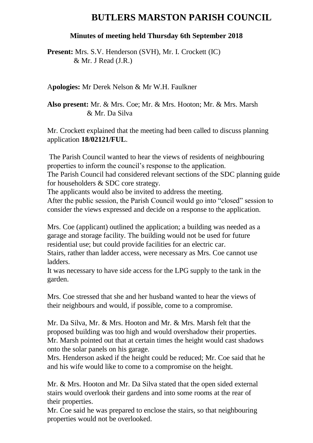# **BUTLERS MARSTON PARISH COUNCIL**

#### **Minutes of meeting held Thursday 6th September 2018**

**Present:** Mrs. S.V. Henderson (SVH), Mr. I. Crockett (IC) & Mr. J Read (J.R.)

A**pologies:** Mr Derek Nelson & Mr W.H. Faulkner

**Also present:** Mr. & Mrs. Coe; Mr. & Mrs. Hooton; Mr. & Mrs. Marsh & Mr. Da Silva

Mr. Crockett explained that the meeting had been called to discuss planning application **18/02121/FUL**.

The Parish Council wanted to hear the views of residents of neighbouring properties to inform the council's response to the application.

The Parish Council had considered relevant sections of the SDC planning guide for householders & SDC core strategy.

The applicants would also be invited to address the meeting.

After the public session, the Parish Council would go into "closed" session to consider the views expressed and decide on a response to the application.

Mrs. Coe (applicant) outlined the application; a building was needed as a garage and storage facility. The building would not be used for future residential use; but could provide facilities for an electric car.

Stairs, rather than ladder access, were necessary as Mrs. Coe cannot use ladders.

It was necessary to have side access for the LPG supply to the tank in the garden.

Mrs. Coe stressed that she and her husband wanted to hear the views of their neighbours and would, if possible, come to a compromise.

Mr. Da Silva, Mr. & Mrs. Hooton and Mr. & Mrs. Marsh felt that the proposed building was too high and would overshadow their properties. Mr. Marsh pointed out that at certain times the height would cast shadows onto the solar panels on his garage.

Mrs. Henderson asked if the height could be reduced; Mr. Coe said that he and his wife would like to come to a compromise on the height.

Mr. & Mrs. Hooton and Mr. Da Silva stated that the open sided external stairs would overlook their gardens and into some rooms at the rear of their properties.

Mr. Coe said he was prepared to enclose the stairs, so that neighbouring properties would not be overlooked.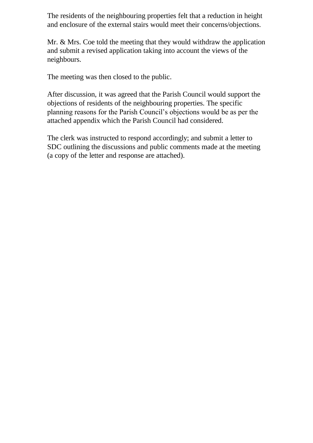The residents of the neighbouring properties felt that a reduction in height and enclosure of the external stairs would meet their concerns/objections.

Mr. & Mrs. Coe told the meeting that they would withdraw the application and submit a revised application taking into account the views of the neighbours.

The meeting was then closed to the public.

After discussion, it was agreed that the Parish Council would support the objections of residents of the neighbouring properties. The specific planning reasons for the Parish Council's objections would be as per the attached appendix which the Parish Council had considered.

The clerk was instructed to respond accordingly; and submit a letter to SDC outlining the discussions and public comments made at the meeting (a copy of the letter and response are attached).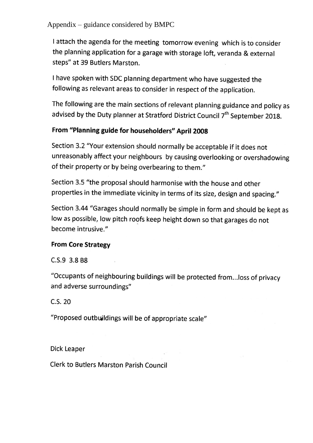Appendix – guidance considered by BMPC

I attach the agenda for the meeting tomorrow evening which is to consider the planning application for a garage with storage loft, veranda & external steps" at 39 Butlers Marston.

I have spoken with SDC planning department who have suggested the following as relevant areas to consider in respect of the application.

The following are the main sections of relevant planning guidance and policy as advised by the Duty planner at Stratford District Council 7<sup>th</sup> September 2018.

### From "Planning guide for householders" April 2008

Section 3.2 "Your extension should normally be acceptable if it does not unreasonably affect your neighbours by causing overlooking or overshadowing of their property or by being overbearing to them."

Section 3.5 "the proposal should harmonise with the house and other properties in the immediate vicinity in terms of its size, design and spacing."

Section 3.44 "Garages should normally be simple in form and should be kept as low as possible, low pitch roofs keep height down so that garages do not become intrusive."

#### **From Core Strategy**

C.S.9 3.8 B8

"Occupants of neighbouring buildings will be protected from...loss of privacy and adverse surroundings"

C.S. 20

"Proposed outbuildings will be of appropriate scale"

**Dick Leaper** 

**Clerk to Butlers Marston Parish Council**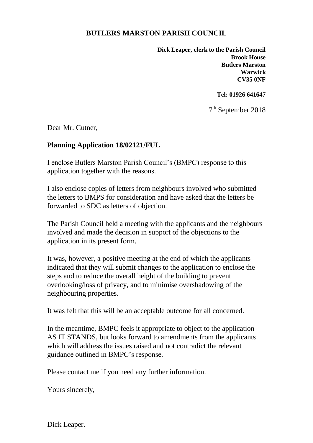## **BUTLERS MARSTON PARISH COUNCIL**

**Dick Leaper, clerk to the Parish Council Brook House Butlers Marston Warwick CV35 0NF**

**Tel: 01926 641647**

7<sup>th</sup> September 2018

Dear Mr. Cutner,

#### **Planning Application 18/02121/FUL**

I enclose Butlers Marston Parish Council's (BMPC) response to this application together with the reasons.

I also enclose copies of letters from neighbours involved who submitted the letters to BMPS for consideration and have asked that the letters be forwarded to SDC as letters of objection.

The Parish Council held a meeting with the applicants and the neighbours involved and made the decision in support of the objections to the application in its present form.

It was, however, a positive meeting at the end of which the applicants indicated that they will submit changes to the application to enclose the steps and to reduce the overall height of the building to prevent overlooking/loss of privacy, and to minimise overshadowing of the neighbouring properties.

It was felt that this will be an acceptable outcome for all concerned.

In the meantime, BMPC feels it appropriate to object to the application AS IT STANDS, but looks forward to amendments from the applicants which will address the issues raised and not contradict the relevant guidance outlined in BMPC's response.

Please contact me if you need any further information.

Yours sincerely,

Dick Leaper.